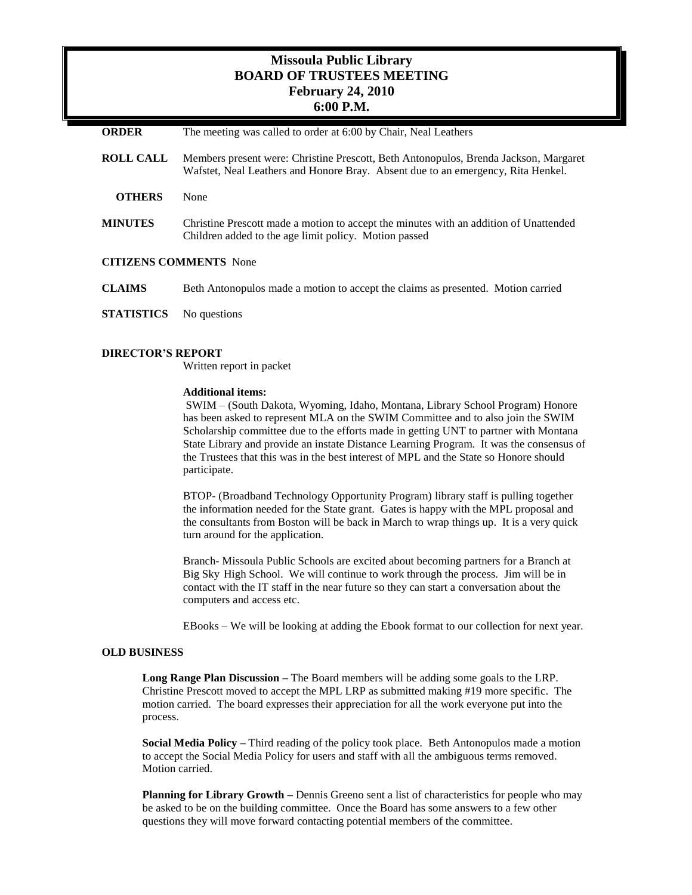# **Missoula Public Library BOARD OF TRUSTEES MEETING February 24, 2010 6:00 P.M.**

| <b>ORDER</b>                  | The meeting was called to order at 6:00 by Chair, Neal Leathers                                                                                                          |
|-------------------------------|--------------------------------------------------------------------------------------------------------------------------------------------------------------------------|
| <b>ROLL CALL</b>              | Members present were: Christine Prescott, Beth Antonopulos, Brenda Jackson, Margaret<br>Wafstet, Neal Leathers and Honore Bray. Absent due to an emergency, Rita Henkel. |
| <b>OTHERS</b>                 | None                                                                                                                                                                     |
| <b>MINUTES</b>                | Christine Prescott made a motion to accept the minutes with an addition of Unattended<br>Children added to the age limit policy. Motion passed                           |
| <b>CITIZENS COMMENTS</b> None |                                                                                                                                                                          |
| <b>CLAIMS</b>                 | Beth Antonopulos made a motion to accept the claims as presented. Motion carried                                                                                         |
| <b>STATISTICS</b>             | No questions                                                                                                                                                             |

## **DIRECTOR'S REPORT**

Written report in packet

## **Additional items:**

SWIM – (South Dakota, Wyoming, Idaho, Montana, Library School Program) Honore has been asked to represent MLA on the SWIM Committee and to also join the SWIM Scholarship committee due to the efforts made in getting UNT to partner with Montana State Library and provide an instate Distance Learning Program. It was the consensus of the Trustees that this was in the best interest of MPL and the State so Honore should participate.

BTOP- (Broadband Technology Opportunity Program) library staff is pulling together the information needed for the State grant. Gates is happy with the MPL proposal and the consultants from Boston will be back in March to wrap things up. It is a very quick turn around for the application.

Branch- Missoula Public Schools are excited about becoming partners for a Branch at Big Sky High School. We will continue to work through the process. Jim will be in contact with the IT staff in the near future so they can start a conversation about the computers and access etc.

EBooks – We will be looking at adding the Ebook format to our collection for next year.

### **OLD BUSINESS**

**Long Range Plan Discussion –** The Board members will be adding some goals to the LRP. Christine Prescott moved to accept the MPL LRP as submitted making #19 more specific. The motion carried. The board expresses their appreciation for all the work everyone put into the process.

**Social Media Policy –** Third reading of the policy took place. Beth Antonopulos made a motion to accept the Social Media Policy for users and staff with all the ambiguous terms removed. Motion carried.

**Planning for Library Growth –** Dennis Greeno sent a list of characteristics for people who may be asked to be on the building committee. Once the Board has some answers to a few other questions they will move forward contacting potential members of the committee.